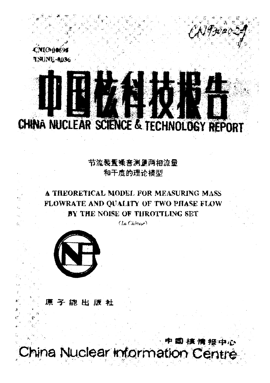

# CHINA NUCLEAR SCIENCE & TECHNOLOGY REPORT

节流装置噪音测量两相流量 和干度的理论模型

## A THEORETICAL MODEL FOR MEASURING MASS FLOWRATE AND QUALITY OF TWO PHASE FLOW BY THE NOISE OF THROTTLING SET

 $(Ln \text{ Chinese})$ 



Ŵ.

原子能出版社

中国核情报中心 China Nuclear Information Centre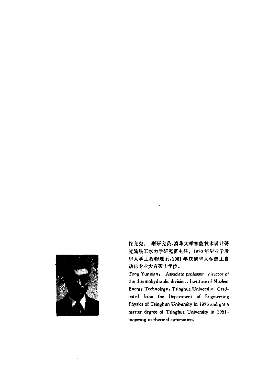

佟允宪: 副研究员,清华大学核能技术设计研 究院热工水力学研究室主任。1970年毕业于清 华大学工程物理系,1981年获清华大学热工自 动化专业大有硕士学位。

Tong Yunxian: Associate professor director of the thermohydraulic division, Institute of Nuclear Energy Technology, Tsinghua University. Greduated from the Department of Engineering Physics of Tsinghun University in 1970 and got a master degree of Tsinghua University in 1931. mojoring in thermal automation.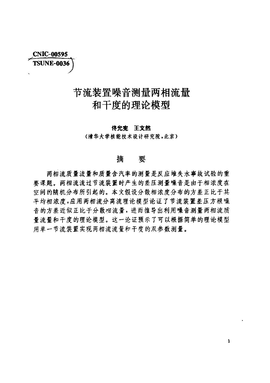**CNIC-00595 TSUNE-0036** 

# 节流装置噪音测量两相流量 和干度的理论模型

#### 传允宪王文然

〈清华大学核能技术设计研究院,北京〉

#### 摘要

两相流质量流量和质量含汽率的测量是反应堆失水事故试验的重 要课题。两相流流过节流装置时产生的差压测量噪音是由于相浓度在 空间的随机分布所引起的。本文假设分散相浓度分布的方差正比于其 平均相浓度,应用两相流分离流理论模型论证了节流装置差压方根噪 音的方差近似正比于分散布流量,进而推导出利用噪音测量两相流质 量流量和干度的理论模型。这一论证预示了可以根据简单的理论模型 用单一节流装置实现两相流流量和干度的双参数测量。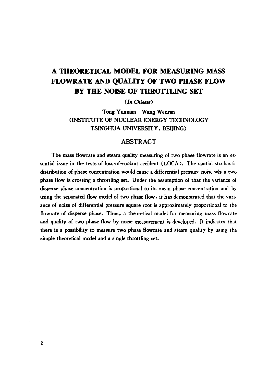## A THEORETICAL MODEL FOR MEASURING MASS FLOWRATE AND QUALITY OF TWO PHASE FLOW BY THE NOISE OF THROTTLING SET

(1*n Chinese)*

Tong Yunxian Wang Wenran (INSTITUTE OF NUCLEAR ENERGY TECHNOLOGY TSINGHUA UNIVERSITY. BEIJING)

### ABSTRACT

The mass flowrate and steam quality measuring of two phase flowrate is an essential issue in the tests of loss-of-coolant accident (LOCA). The spatial stochastic distribution of phase concentration would cause a differential pressure noise when two phase flow is crossing a throttling set. Under the assumption of that the variance of disperse phase concentration is proportional to its mean phase concentration and by using the separated flow model of two phase flow. it has demonstrated that the variance of noise of differential pressure square root is approximately proportional to the flowrate of disperse phase. Thus, a theoretical model for measuring mass flowrate and quality of two phase flow by noise measurement is developed. It indicates that there is a possibility to measure two phase flowrate and steam quality by using the simple theoretical model and a single throttling set.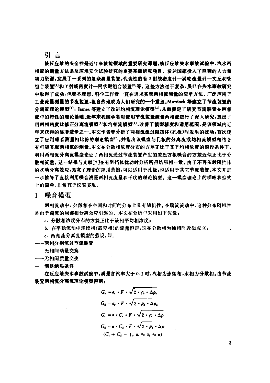#### 引言

核反应堆的安全性是近年来核能领域的重要研究课题.核反应堆失水事故试验中,汽水两 相疏的测量方法是反应堆安全试验研究的重要基础研究项目.发达国家技入了巨额的人力栩 物力资源,发展了一系列的复杂测量装置,代表性的有 7 射线密度计一涡轮流量计一文丘利管 组合装置[1]和 7 射线密度计一网状靶组合装置[2]等。这些方法过于复杂,虽已在失水事故研究 中取得了成功,但都不理想.科学工作者一直在追求实现两相流测量的情单方法.广臣应用于 工业班量测量的节流装置,很自然地成为人们研究的一个重点汕rdock 等建立了节魔装置的 分离流理论模型<sup>[3]</sup>,James 等建立了改进均相流理论模型<sup>[4]</sup>,从而奠定了研究节流装置在两相 流中的特性的理论基础.近年来我国学者对使用节流装置测量两相施进行了深入研究,提出了 用两相密度比修正分离流模型[8]和均相流模型[6],改善了模型精度和适用范围,是该领域内近 年来获得的显著进步之一.本文作者曾分析了两相流流过阻挡体{孔板〉时发生的拨动,首次建 立了应用噪音测量相比份的理论模型<sup>[7]</sup>,并指出该模型与孔板的分离流或均相流模型相结合 有叮能实现两相流的测量.本文在分散相浓度分布的方差正比于其平均相浓度的假设条件下. 利用两相流分离流模型论证了两相流通过节流装置产生的差 方根噪音的方差近似正比于分 散相流量.这一结果与文献[7J在有阻挡体扰动时分析所得结果相一致.由于不再依锁阻挡体 的扰动分离效应.拓宽了理论的应用范围,可以适用于孔饭,也适用于其它节流装置.本文并进 一步推导了直接利用噪音测量两相流流量和干度的理论模型.这一模型理论上的明晰和型式 上的简单,非常直于仪表实现.

1 噪音模型

两相流动中,分散相在空间和时间的分布上具有随机性.在前流流动中,这种分布随机性 是由于湍流的局部相分离效应引起的。本文在分析中采用如下假设:

- a. 分散相浓度分布的方差正比于该相平均相浓度;
- b. 在平稳流动中连续相(载带相)的流量恒定,这在分散相为稀相时近似成立;
- c. 两相流分离流模型的假设,即:
- ←一两相分别流过节流装置
- 一一无相间动量交换
- 一一无相间质量交换
- 一一满足绝热条件

在反应堆失水事故试驻中,质量含汽拿大于 0.1 时,汽相为连续徊,水相为分散相.由节流 装置两相流分离流理论模型得到:

$$
G_{\epsilon} = a_{\epsilon} \cdot F \cdot \sqrt{2 \cdot \rho_{\epsilon} \cdot \Delta p_{\epsilon}}
$$
  
\n
$$
G_{a} = a_{a} \cdot F \cdot \sqrt{2 \cdot \rho_{a} \cdot \Delta p_{a}}
$$
  
\n
$$
G_{\epsilon} = a \cdot C_{\epsilon} \cdot F \cdot \sqrt{2 \cdot \rho_{\epsilon} \cdot \Delta p}
$$
  
\n
$$
G_{a} = a \cdot C_{a} \cdot F \cdot \sqrt{2 \cdot \rho_{a} \cdot \Delta p}
$$
  
\n
$$
(C_{\epsilon} + C_{a} = 1, a_{\epsilon} \approx a_{a} \approx a)
$$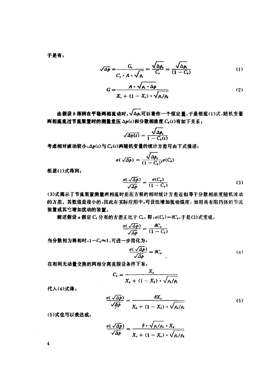干县有。

$$
\sqrt{\Delta p} = \frac{G_c}{C_c \cdot A \cdot \sqrt{\rho_c}} = \frac{\sqrt{\Delta p_c}}{C_c} = \frac{\sqrt{\Delta p_c}}{(1 - C_c)} \tag{1}
$$

$$
G = \frac{A \cdot \sqrt{\rho_c \cdot \Delta p}}{X_c + (1 - X_c) \cdot \sqrt{\rho_c/\rho_c}}
$$
 (2)

由假设 b 得到在平稳两相流动时, √△p.可以看作一个恒定量, 于是根据(1)式,随机变量 两相流流过节流装置时的测量差压 Δp(t)和分散相浓度 C.(t)有如下关系:

$$
\sqrt{\Delta p(t)} = \frac{\sqrt{\Delta p_{\epsilon}}}{1 - C_{\epsilon}(t)}
$$

考虑相对波动较小, Ap(t) 与 Ca(t) 两随机变量的统计方差可由下式描述:

$$
\sigma(\sqrt{\Delta p}) = \frac{\sqrt{\Delta p_{\epsilon}}}{(1 - C_{\epsilon})^2} \sigma(C_{\epsilon})
$$

根据(1)式得到:

$$
\frac{\sigma(\sqrt{\Delta p})}{\sqrt{\Delta p}} = \frac{\sigma(C_e)}{(1 - C_e)}
$$
\n(3)

(3)式揭示了节流装置测量两相流时差压方根的相对统计方差近似等于分散相浓度随机波动 的方差。其数值是很小的,因此在实际应用中,可设法增加扰动强度,如用具有阻挡体的节流 装置或其它增加扰动的装置。

前述假设 a 假定 Ca 分布的方差正比于 Ca, 即: $\sigma(C_4) = \theta C_4$ , 于是(3)式变成:

$$
\frac{\sigma(\sqrt{\Delta p})}{\sqrt{\Delta p}} = \frac{\theta C_4}{(1 - C_4)}
$$

当分散相为稀相时,1-C.≈1,可进一步简化为:

$$
\frac{\sigma(\sqrt{\Delta p})}{\sqrt{\Delta p}} = \theta C_s \tag{4}
$$

在相间无动量交换的两相分离流假设条件下有:

$$
C_{\mathbf{d}} = \frac{X_{\mathbf{d}}}{X_{\mathbf{d}} + (1 - X_{\mathbf{d}}) \cdot \sqrt{\rho_{\mathbf{d}}/\rho_{\mathbf{d}}}}
$$

代入(4)式得:

$$
\frac{\sigma(\sqrt{\Delta\rho})}{\sqrt{\Delta\rho}} = \frac{\theta X_4}{X_4 + (1 - X_4) \cdot \sqrt{\rho_4/\rho_4}}\tag{5}
$$

(5)式也可以表达成:

$$
\frac{\sigma(\sqrt{\Delta p})}{\sqrt{\Delta p}} = \frac{\theta \cdot \sqrt{\rho_c/\rho_a} \cdot X_a}{X_c + (1 - X_c) \cdot \sqrt{\rho_c/\rho_a}}
$$

 $\overline{4}$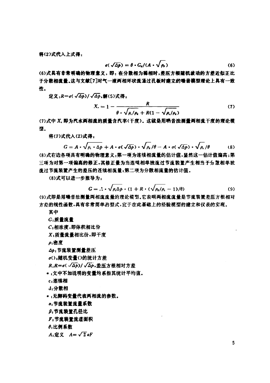将(2)式代入上式得:

$$
\sigma(\sqrt{\Delta p}) = \theta \cdot G_4/(A \cdot \sqrt{\rho_e})
$$
 (6)

(6)式具有非常明确的物理意义,即: 在分散相为稀相时,差压方根随机波动的方差近似正比 于分散相流量.这与文献[7]对气一液两相环状流通过孔板时建立的噪音模型理论上具有一致 性.

定义: $R = \sigma(\sqrt{\Delta p})/\sqrt{\Delta p}$ ,解(5)式得:

$$
X_{\cdot} = 1 - \frac{R}{\theta \cdot \sqrt{\rho_{\cdot}/\rho_{\cdot}} + R(1 - \sqrt{\rho_{\cdot}/\rho_{\cdot}})}
$$
(7)

(7)式中 X. 即为汽水两相撞的质量含汽事{干度).这就是用唤音法测量两相班子度的理论模 型.

将(7)式代入(2)式得=

$$
\mathcal{H}\mathcal{A}(2)\mathbf{R}=\mathbf{A}\cdot\sqrt{\rho_{\epsilon}\cdot\Delta p}+\mathbf{A}\cdot\mathbf{\sigma}(\sqrt{\Delta p})\cdot\sqrt{\rho_{\epsilon}/\theta}-\mathbf{A}\cdot\mathbf{\sigma}(\sqrt{\Delta p})\cdot\sqrt{\rho_{\epsilon}/\theta}
$$
 (8)

(8)式右边各项具有明确的物理意义:第一项为连续相流量的估计值,显然这一估计值偏高;第 三项为对第一项偏高的修正,莫修正量为当连键相单独流过节流装置产生相当于公散相单独 流过节流装置产生的差压的连续相流量,第二项为分散相流量的估计值.

(8) 式可以进一步推导为

$$
G = .1 \cdot \sqrt{\rho_c \Delta p} \cdot (1 + R \cdot (\sqrt{\rho_a/\rho_c} - 1)/\theta) \tag{9}
$$

(9)式即是用噪音法测量两相流流量的理论模型。它表明两相流流量是节流装置差压方根相对 方差的线性函数,具有非常简单的型式,宜于在此基础上的经验模型的建立和仪袤的实现.

其中

#### G: 质量流量

c: 相浓度,即体积相比份

,质量流量相比份.IIP 干度

 $\rho$ :密度

I3 节流装置测量差压

0; 随机变量。的统计方差

*R*.*R=o*(  $\sqrt{\Delta p}$ )/  $\sqrt{\Delta p}$ ,差压方根相对方差

\* ,文中不加说明的变量均系指其统计平均值。

,连续相

,分骸相

\* 无脚码变量代表两相流的参数-

- a. 节流装置流量系数
- β,节流装置孔径比

,节流装置梳理面棋

 $\theta$ :比例系数

 $A_1$ 定义  $A=\sqrt{2}$  aF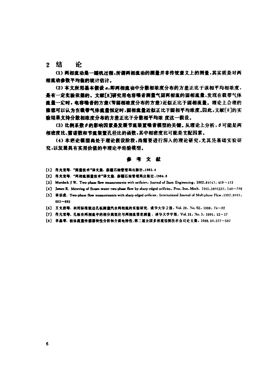2 结 论

(1) 两相流动是一随机过程,所谓两相流动的测量并非传统意义上的测量,其实质是对两 相撞动参数平均值的统计估计。

(2) 本文所用基本假设 a,即两相撞动中分散相浓度分布的方差正比于该相平均相浓度, 是有一定实验依据的。文献[8]研究用电容噪音测量气固两相流的固相流量,发现在载带气体 流量一定时,电容噪音的方差(即固相液度分布的方差)近似正比于固相流量。理论上合理的 推想可以认为在载带气体流量恒定时,固相流量近似正比于固相平均浓度。因此,文献[8]的实 验结果支持分散相浓度分布的方差正比于分散相平均浓 度这一假设。

(3) 比例系数 @ 的影响因素是发展节流装置噪音模型的关键。从理论上分析, 0 可能是两 相窑度比、雷诺量和节撞装置孔径比的画戳,其中相密度比可能是支配因素.

(0 本理论攘型商处于理论假设阶段,尚需要进行深入的理论研究,尤其是基础实验研 究,以发展具有实用价值的半理论半经验模型.

#### ,考文献

- [1] 传允完等. "而量技术"译文集. 新疆石油管理局出版社,1983.4
- [2] 佚允克等. "两相意剥量技术"译文集. 新疆石油管理局出版社,1984.8
- [3] Murdock J W. Two-phase flow measurements with orificies. Journal of Basic Engineering. 1962.84(4): 419~433
- [4] James R. Metering of Steam-water two-phase flow by sharp-edged orificies, Proc. Inst. Mech. 1965.180(23): 549~566
- [5] 林宗虎. Two-phase flow measurements with sharp-edged orificies. International Journal of Multiphase Flow .1982.8(6):  $683 - 693$
- [6] 王文然等. 利用标准锐边孔板测量汽水两相流的实验研究. 清华大学学报, Vol. 28. No. 52. 1988: 74~82
- [7] 供允完等. 孔板在两相流中的相分离效应与两相流型度测量. 清华大学学报. Vol. 31, No. 3, 1991; 12~17
- [8] 李晶等. 粉体流量传感器特性分析和介质电特性,第二届全国多相流检测技术会议论文集, 1988.10:577~587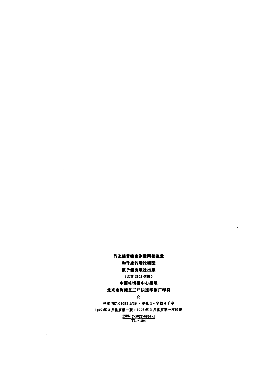#### 节流装置噪音测量两相流量

 $\sim$ 

 $\sim 10^7$ 

#### 和干度的理论模型

#### 原子能出版社出版

#### (北京 2108 信箱)

#### 中国核情报中心排版

#### 北京市海淀区三环快速印刷厂印刷

#### $\mathbf{\hat{x}}$

#### 开本 787×1092 1/16 ·印张 1 · 字数 6 千字

#### 1992年3月北京第一版・1992年3月北京第一次印刷

# $\frac{\text{ISBN 7-5022-0667-1}}{\text{TL - 404}}$